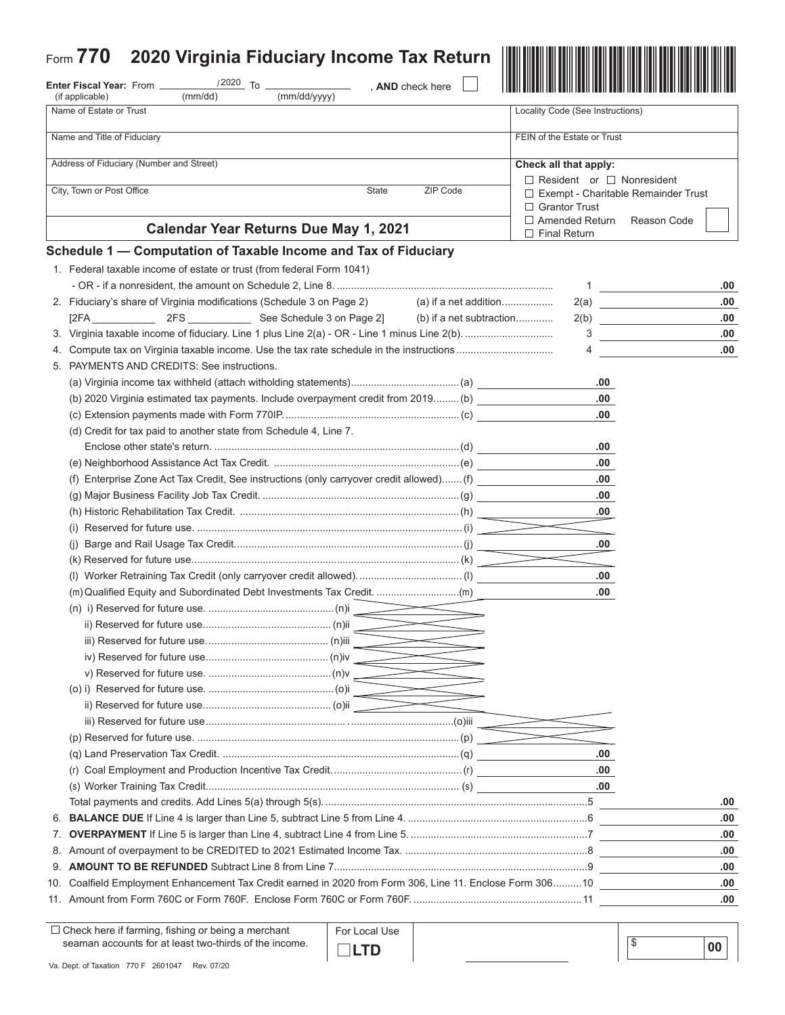|                 | Form 770<br>2020 Virginia Fiduciary Income Tax Return                                                     |                       |                          |                                                          |             |  |
|-----------------|-----------------------------------------------------------------------------------------------------------|-----------------------|--------------------------|----------------------------------------------------------|-------------|--|
|                 | $/2020$ To $-$<br>Enter Fiscal Year: From _                                                               |                       | , AND check here         |                                                          |             |  |
|                 | (if applicable)<br>(mm/dd)                                                                                | (mm/dd/yyyy)          |                          |                                                          |             |  |
|                 | Name of Estate or Trust                                                                                   |                       |                          | Locality Code (See Instructions)                         |             |  |
|                 | Name and Title of Fiduciary                                                                               |                       |                          | FEIN of the Estate or Trust                              |             |  |
|                 | Address of Fiduciary (Number and Street)                                                                  | Check all that apply: |                          |                                                          |             |  |
|                 | City, Town or Post Office                                                                                 | State                 | ZIP Code                 | $\Box$ Resident or $\Box$ Nonresident                    |             |  |
|                 |                                                                                                           |                       |                          | □ Exempt - Charitable Remainder Trust<br>□ Grantor Trust |             |  |
|                 | <b>Calendar Year Returns Due May 1, 2021</b>                                                              |                       |                          | $\Box$ Amended Return                                    | Reason Code |  |
|                 | Schedule 1 - Computation of Taxable Income and Tax of Fiduciary                                           |                       |                          | $\Box$ Final Return                                      |             |  |
|                 | 1. Federal taxable income of estate or trust (from federal Form 1041)                                     |                       |                          |                                                          |             |  |
|                 |                                                                                                           |                       |                          | $\mathbf 1$                                              | .00         |  |
|                 | 2. Fiduciary's share of Virginia modifications (Schedule 3 on Page 2)                                     |                       | (a) if a net addition    | 2(a)                                                     | .00         |  |
|                 |                                                                                                           |                       | (b) if a net subtraction | 2(b)                                                     | .00         |  |
|                 |                                                                                                           |                       |                          | 3<br>and the company of the company                      | .00         |  |
|                 |                                                                                                           |                       |                          | 4                                                        | .00.        |  |
|                 | 5. PAYMENTS AND CREDITS: See instructions.                                                                |                       |                          |                                                          |             |  |
|                 |                                                                                                           |                       |                          | .00                                                      |             |  |
|                 | (b) 2020 Virginia estimated tax payments. Include overpayment credit from 2019 (b)                        |                       |                          | .00.                                                     |             |  |
|                 |                                                                                                           |                       |                          | .00                                                      |             |  |
|                 | (d) Credit for tax paid to another state from Schedule 4, Line 7.                                         |                       |                          |                                                          |             |  |
|                 |                                                                                                           |                       |                          | .00                                                      |             |  |
|                 |                                                                                                           |                       |                          | .00                                                      |             |  |
|                 | (f) Enterprise Zone Act Tax Credit, See instructions (only carryover credit allowed) (f)                  |                       |                          | .00                                                      |             |  |
|                 |                                                                                                           |                       |                          | .00                                                      |             |  |
|                 |                                                                                                           |                       |                          | .00                                                      |             |  |
|                 |                                                                                                           |                       |                          |                                                          |             |  |
|                 |                                                                                                           |                       |                          | .00                                                      |             |  |
|                 |                                                                                                           |                       |                          |                                                          |             |  |
|                 | (I) Worker Retraining Tax Credit (only carryover credit allowed)(I)                                       |                       |                          | .00                                                      |             |  |
|                 | (m) Qualified Equity and Subordinated Debt Investments Tax Credit. (m)                                    |                       |                          | .00.                                                     |             |  |
|                 |                                                                                                           |                       |                          |                                                          |             |  |
|                 |                                                                                                           |                       |                          |                                                          |             |  |
|                 |                                                                                                           |                       |                          |                                                          |             |  |
|                 |                                                                                                           |                       |                          |                                                          |             |  |
|                 |                                                                                                           |                       |                          |                                                          |             |  |
|                 |                                                                                                           |                       |                          |                                                          |             |  |
|                 |                                                                                                           |                       |                          |                                                          |             |  |
|                 |                                                                                                           |                       |                          |                                                          |             |  |
|                 |                                                                                                           |                       |                          |                                                          |             |  |
|                 |                                                                                                           |                       |                          | .00                                                      |             |  |
|                 |                                                                                                           |                       |                          | .00                                                      |             |  |
|                 |                                                                                                           |                       |                          | .00.                                                     |             |  |
|                 |                                                                                                           |                       |                          |                                                          | .00         |  |
| 6.              |                                                                                                           |                       |                          |                                                          | .00         |  |
| $\mathcal{L}$ . |                                                                                                           |                       |                          |                                                          | .00         |  |
| 8.              |                                                                                                           |                       |                          |                                                          | .00         |  |
|                 |                                                                                                           |                       |                          |                                                          | .00         |  |
|                 | 10. Coalfield Employment Enhancement Tax Credit earned in 2020 from Form 306, Line 11. Enclose Form 30610 |                       |                          |                                                          | .00         |  |
|                 |                                                                                                           |                       |                          |                                                          | .00         |  |
|                 |                                                                                                           |                       |                          |                                                          |             |  |

 $\square$  Check here if farming, fishing or being a merchant seaman accounts for at least two-thirds of the income.  For Local Use j **LTD**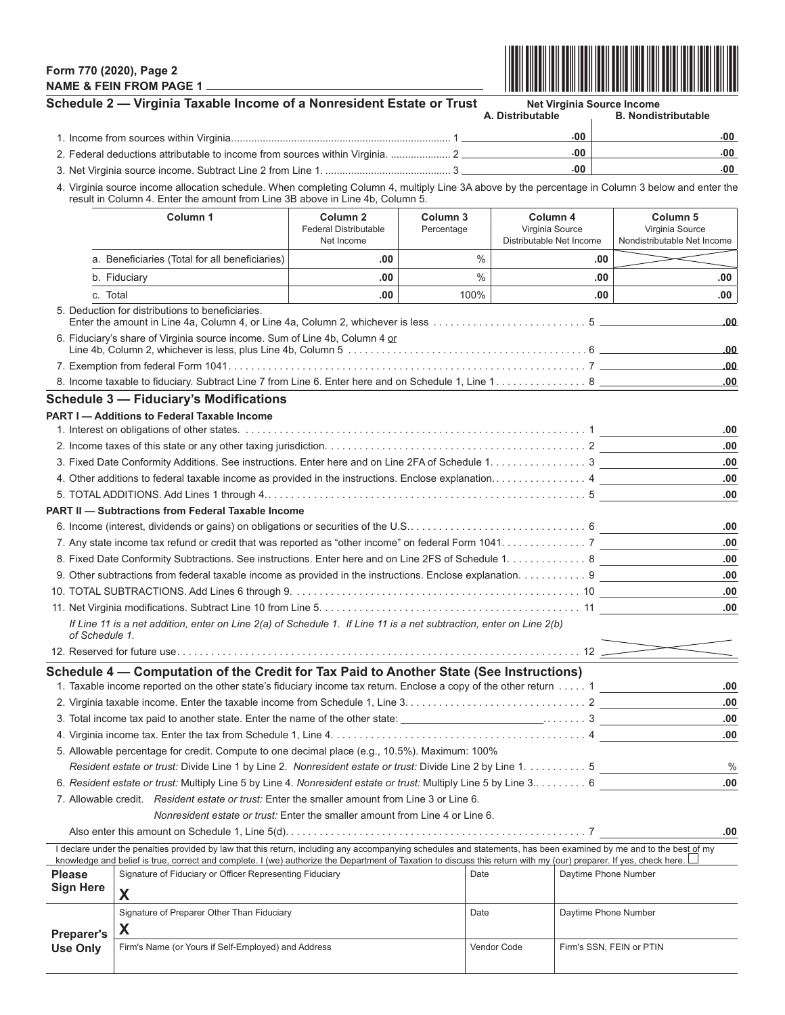## **Form 770 (2020), Page 2 NAME & FEIN FROM PAGE 1**



|                                      | Schedule 2 - Virginia Taxable Income of a Nonresident Estate or Trust                                                                                                                                                                                                                                                                      |     |  |                                                         | <b>Net Virginia Source Income</b><br>A. Distributable |     | <b>B. Nondistributable</b>                                            |  |  |
|--------------------------------------|--------------------------------------------------------------------------------------------------------------------------------------------------------------------------------------------------------------------------------------------------------------------------------------------------------------------------------------------|-----|--|---------------------------------------------------------|-------------------------------------------------------|-----|-----------------------------------------------------------------------|--|--|
|                                      |                                                                                                                                                                                                                                                                                                                                            |     |  |                                                         | $.00 \cdot$                                           |     | 00٠                                                                   |  |  |
|                                      |                                                                                                                                                                                                                                                                                                                                            |     |  |                                                         | .00                                                   |     | .00                                                                   |  |  |
|                                      | 2. Federal deductions attributable to income from sources within Virginia.  2                                                                                                                                                                                                                                                              |     |  |                                                         | .00                                                   |     | .00                                                                   |  |  |
|                                      | 4. Virginia source income allocation schedule. When completing Column 4, multiply Line 3A above by the percentage in Column 3 below and enter the<br>result in Column 4. Enter the amount from Line 3B above in Line 4b, Column 5.                                                                                                         |     |  |                                                         |                                                       |     |                                                                       |  |  |
|                                      | Column 1<br>Column <sub>2</sub><br>Column 3<br><b>Federal Distributable</b><br>Percentage<br>Net Income<br>a. Beneficiaries (Total for all beneficiaries)<br>.00                                                                                                                                                                           |     |  | Column 4<br>Virginia Source<br>Distributable Net Income |                                                       |     | Column <sub>5</sub><br>Virginia Source<br>Nondistributable Net Income |  |  |
|                                      |                                                                                                                                                                                                                                                                                                                                            |     |  | $\frac{0}{0}$                                           |                                                       | .00 |                                                                       |  |  |
|                                      | b. Fiduciary                                                                                                                                                                                                                                                                                                                               | .00 |  | $\frac{0}{0}$                                           |                                                       | .00 | .00                                                                   |  |  |
|                                      | c. Total<br>.00                                                                                                                                                                                                                                                                                                                            |     |  | 100%                                                    |                                                       | .00 | .00                                                                   |  |  |
|                                      | 5. Deduction for distributions to beneficiaries.                                                                                                                                                                                                                                                                                           |     |  |                                                         |                                                       |     |                                                                       |  |  |
|                                      | 6. Fiduciary's share of Virginia source income. Sum of Line 4b, Column 4 or<br>.00                                                                                                                                                                                                                                                         |     |  |                                                         |                                                       |     |                                                                       |  |  |
|                                      |                                                                                                                                                                                                                                                                                                                                            |     |  |                                                         |                                                       |     | .00                                                                   |  |  |
|                                      |                                                                                                                                                                                                                                                                                                                                            |     |  |                                                         |                                                       |     | .00.                                                                  |  |  |
|                                      | <b>Schedule 3 - Fiduciary's Modifications</b>                                                                                                                                                                                                                                                                                              |     |  |                                                         |                                                       |     |                                                                       |  |  |
|                                      | <b>PART I-Additions to Federal Taxable Income</b>                                                                                                                                                                                                                                                                                          |     |  |                                                         |                                                       |     |                                                                       |  |  |
|                                      |                                                                                                                                                                                                                                                                                                                                            |     |  |                                                         |                                                       |     | .00                                                                   |  |  |
|                                      |                                                                                                                                                                                                                                                                                                                                            |     |  |                                                         |                                                       |     | .00                                                                   |  |  |
|                                      | 3. Fixed Date Conformity Additions. See instructions. Enter here and on Line 2FA of Schedule 1. 3                                                                                                                                                                                                                                          |     |  |                                                         |                                                       |     | .00                                                                   |  |  |
|                                      | 4. Other additions to federal taxable income as provided in the instructions. Enclose explanation 4                                                                                                                                                                                                                                        |     |  |                                                         |                                                       |     | .00                                                                   |  |  |
|                                      |                                                                                                                                                                                                                                                                                                                                            |     |  |                                                         |                                                       |     | .00                                                                   |  |  |
|                                      | <b>PART II - Subtractions from Federal Taxable Income</b>                                                                                                                                                                                                                                                                                  |     |  |                                                         |                                                       |     |                                                                       |  |  |
|                                      |                                                                                                                                                                                                                                                                                                                                            |     |  |                                                         |                                                       |     | .00                                                                   |  |  |
|                                      | 7. Any state income tax refund or credit that was reported as "other income" on federal Form 1041. 7                                                                                                                                                                                                                                       |     |  |                                                         |                                                       |     | .00<br>.00                                                            |  |  |
|                                      | 8. Fixed Date Conformity Subtractions. See instructions. Enter here and on Line 2FS of Schedule 1. 8                                                                                                                                                                                                                                       |     |  |                                                         |                                                       |     |                                                                       |  |  |
|                                      | 9. Other subtractions from federal taxable income as provided in the instructions. Enclose explanation. 9<br>.00                                                                                                                                                                                                                           |     |  |                                                         |                                                       |     |                                                                       |  |  |
|                                      | .00                                                                                                                                                                                                                                                                                                                                        |     |  |                                                         |                                                       |     |                                                                       |  |  |
|                                      |                                                                                                                                                                                                                                                                                                                                            |     |  |                                                         |                                                       |     | .00                                                                   |  |  |
|                                      | If Line 11 is a net addition, enter on Line 2(a) of Schedule 1. If Line 11 is a net subtraction, enter on Line 2(b)<br>of Schedule 1.                                                                                                                                                                                                      |     |  |                                                         |                                                       |     |                                                                       |  |  |
|                                      |                                                                                                                                                                                                                                                                                                                                            |     |  |                                                         |                                                       |     |                                                                       |  |  |
|                                      | Schedule 4 – Computation of the Credit for Tax Paid to Another State (See Instructions)                                                                                                                                                                                                                                                    |     |  |                                                         |                                                       |     |                                                                       |  |  |
|                                      | 1. Taxable income reported on the other state's fiduciary income tax return. Enclose a copy of the other return  1                                                                                                                                                                                                                         |     |  |                                                         |                                                       |     | .00<br>.00                                                            |  |  |
|                                      |                                                                                                                                                                                                                                                                                                                                            |     |  |                                                         |                                                       | .00 |                                                                       |  |  |
|                                      |                                                                                                                                                                                                                                                                                                                                            |     |  |                                                         |                                                       |     | .00                                                                   |  |  |
|                                      | 5. Allowable percentage for credit. Compute to one decimal place (e.g., 10.5%). Maximum: 100%                                                                                                                                                                                                                                              |     |  |                                                         |                                                       |     |                                                                       |  |  |
|                                      | Resident estate or trust: Divide Line 1 by Line 2. Nonresident estate or trust: Divide Line 2 by Line 1. 5                                                                                                                                                                                                                                 |     |  |                                                         |                                                       |     | $\%$                                                                  |  |  |
|                                      | 6. Resident estate or trust: Multiply Line 5 by Line 4. Nonresident estate or trust: Multiply Line 5 by Line 3 6                                                                                                                                                                                                                           |     |  |                                                         |                                                       |     | .00                                                                   |  |  |
|                                      | 7. Allowable credit. Resident estate or trust: Enter the smaller amount from Line 3 or Line 6.                                                                                                                                                                                                                                             |     |  |                                                         |                                                       |     |                                                                       |  |  |
|                                      | Nonresident estate or trust: Enter the smaller amount from Line 4 or Line 6.                                                                                                                                                                                                                                                               |     |  |                                                         |                                                       |     |                                                                       |  |  |
|                                      |                                                                                                                                                                                                                                                                                                                                            |     |  |                                                         |                                                       |     | .00                                                                   |  |  |
|                                      | I declare under the penalties provided by law that this return, including any accompanying schedules and statements, has been examined by me and to the best of my<br>knowledge and belief is true, correct and complete. I (we) authorize the Department of Taxation to discuss this return with my (our) preparer. If yes, check here. L |     |  |                                                         |                                                       |     |                                                                       |  |  |
| <b>Please</b>                        | Signature of Fiduciary or Officer Representing Fiduciary                                                                                                                                                                                                                                                                                   |     |  | Date                                                    |                                                       |     | Daytime Phone Number                                                  |  |  |
| <b>Sign Here</b>                     | X                                                                                                                                                                                                                                                                                                                                          |     |  |                                                         |                                                       |     |                                                                       |  |  |
|                                      | Signature of Preparer Other Than Fiduciary                                                                                                                                                                                                                                                                                                 |     |  | Date                                                    |                                                       |     | Daytime Phone Number                                                  |  |  |
|                                      | X                                                                                                                                                                                                                                                                                                                                          |     |  |                                                         |                                                       |     |                                                                       |  |  |
| <b>Preparer's</b><br><b>Use Only</b> | Firm's Name (or Yours if Self-Employed) and Address                                                                                                                                                                                                                                                                                        |     |  | Vendor Code                                             |                                                       |     | Firm's SSN, FEIN or PTIN                                              |  |  |
|                                      |                                                                                                                                                                                                                                                                                                                                            |     |  |                                                         |                                                       |     |                                                                       |  |  |